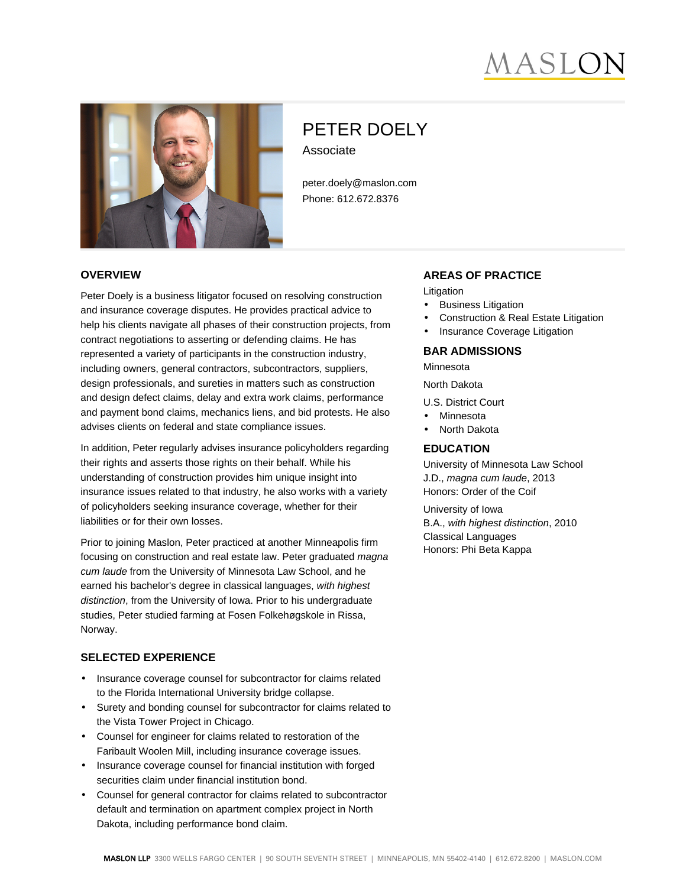# AASLC



# PETER DOELY Associate

peter.doely@maslon.com Phone: 612.672.8376

#### **OVERVIEW**

Peter Doely is a business litigator focused on resolving construction and insurance coverage disputes. He provides practical advice to help his clients navigate all phases of their construction projects, from contract negotiations to asserting or defending claims. He has represented a variety of participants in the construction industry, including owners, general contractors, subcontractors, suppliers, design professionals, and sureties in matters such as construction and design defect claims, delay and extra work claims, performance and payment bond claims, mechanics liens, and bid protests. He also advises clients on federal and state compliance issues.

In addition, Peter regularly advises insurance policyholders regarding their rights and asserts those rights on their behalf. While his understanding of construction provides him unique insight into insurance issues related to that industry, he also works with a variety of policyholders seeking insurance coverage, whether for their liabilities or for their own losses.

Prior to joining Maslon, Peter practiced at another Minneapolis firm focusing on construction and real estate law. Peter graduated magna cum laude from the University of Minnesota Law School, and he earned his bachelor's degree in classical languages, with highest distinction, from the University of Iowa. Prior to his undergraduate studies, Peter studied farming at Fosen Folkehøgskole in Rissa, Norway.

#### **SELECTED EXPERIENCE**

- Insurance coverage counsel for subcontractor for claims related to the Florida International University bridge collapse.
- Surety and bonding counsel for subcontractor for claims related to the Vista Tower Project in Chicago.
- Counsel for engineer for claims related to restoration of the Faribault Woolen Mill, including insurance coverage issues.
- Insurance coverage counsel for financial institution with forged securities claim under financial institution bond.
- Counsel for general contractor for claims related to subcontractor default and termination on apartment complex project in North Dakota, including performance bond claim.

#### **AREAS OF PRACTICE**

Litigation

- **Business Litigation**
- Construction & Real Estate Litigation
- Insurance Coverage Litigation

## **BAR ADMISSIONS**

Minnesota North Dakota

U.S. District Court

- Minnesota
- North Dakota

#### **EDUCATION**

University of Minnesota Law School J.D., magna cum laude, 2013 Honors: Order of the Coif

University of Iowa B.A., with highest distinction, 2010 Classical Languages Honors: Phi Beta Kappa